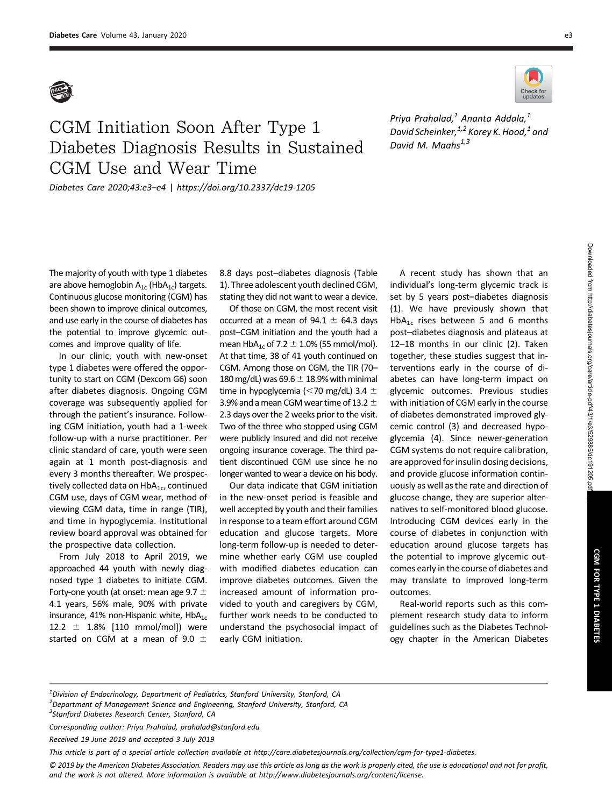

## CGM Initiation Soon After Type 1 Diabetes Diagnosis Results in Sustained CGM Use and Wear Time

Diabetes Care 2020;43:e3–e4 | <https://doi.org/10.2337/dc19-1205>



Priya Prahalad, $^1$  Ananta Addala, $^1$ David Scheinker,  $1,2$  Korey K. Hood,  $1$  and David M. Maahs $^{1,3}$ 

The majority of youth with type 1 diabetes are above hemoglobin  $A_{1c}$  (Hb $A_{1c}$ ) targets. Continuous glucose monitoring (CGM) has been shown to improve clinical outcomes, and use early in the course of diabetes has the potential to improve glycemic outcomes and improve quality of life.

In our clinic, youth with new-onset type 1 diabetes were offered the opportunity to start on CGM (Dexcom G6) soon after diabetes diagnosis. Ongoing CGM coverage was subsequently applied for through the patient's insurance. Following CGM initiation, youth had a 1-week follow-up with a nurse practitioner. Per clinic standard of care, youth were seen again at 1 month post-diagnosis and every 3 months thereafter. We prospectively collected data on  $HbA_{1c}$ , continued CGM use, days of CGM wear, method of viewing CGM data, time in range (TIR), and time in hypoglycemia. Institutional review board approval was obtained for the prospective data collection.

From July 2018 to April 2019, we approached 44 youth with newly diagnosed type 1 diabetes to initiate CGM. Forty-one youth (at onset: mean age 9.7  $\pm$ 4.1 years, 56% male, 90% with private insurance, 41% non-Hispanic white,  $HbA_{1c}$ 12.2  $\pm$  1.8% [110 mmol/mol]) were started on CGM at a mean of 9.0  $\pm$  8.8 days post–diabetes diagnosis (Table 1). Three adolescent youth declined CGM, stating they did not want to wear a device.

Of those on CGM, the most recent visit occurred at a mean of  $94.1 \pm 64.3$  days post–CGM initiation and the youth had a mean HbA<sub>1c</sub> of 7.2  $\pm$  1.0% (55 mmol/mol). At that time, 38 of 41 youth continued on CGM. Among those on CGM, the TIR (70– 180 mg/dL) was  $69.6 \pm 18.9\%$  with minimal time in hypoglycemia ( $<$ 70 mg/dL) 3.4  $\pm$ 3.9% and a mean CGM wear time of 13.2  $\pm$ 2.3 days over the 2 weeks prior to the visit. Two of the three who stopped using CGM were publicly insured and did not receive ongoing insurance coverage. The third patient discontinued CGM use since he no longer wanted to wear a device on his body.

Our data indicate that CGM initiation in the new-onset period is feasible and well accepted by youth and their families in response to a team effort around CGM education and glucose targets. More long-term follow-up is needed to determine whether early CGM use coupled with modified diabetes education can improve diabetes outcomes. Given the increased amount of information provided to youth and caregivers by CGM, further work needs to be conducted to understand the psychosocial impact of early CGM initiation.

A recent study has shown that an individual's long-term glycemic track is set by 5 years post–diabetes diagnosis (1). We have previously shown that  $HbA_{1c}$  rises between 5 and 6 months post–diabetes diagnosis and plateaus at 12–18 months in our clinic (2). Taken together, these studies suggest that interventions early in the course of diabetes can have long-term impact on glycemic outcomes. Previous studies with initiation of CGM early in the course of diabetes demonstrated improved glycemic control (3) and decreased hypoglycemia (4). Since newer-generation CGM systems do not require calibration, are approved for insulin dosing decisions, and provide glucose information continuously as well as the rate and direction of glucose change, they are superior alternatives to self-monitored blood glucose. Introducing CGM devices early in the course of diabetes in conjunction with education around glucose targets has the potential to improve glycemic outcomes early in the course of diabetes and may translate to improved long-term outcomes.

Real-world reports such as this complement research study data to inform guidelines such as the Diabetes Technology chapter in the American Diabetes

 $^{\text{1}}$ Division of Endocrinology, Department of Pediatrics, Stanford University, Stanford, CA <sup>2</sup> Department of Management Science and Engineering, Stanford University, Stanford, CA <sup>3</sup>Stanford Diabetes Research Center, Stanford, CA

Corresponding author: Priya Prahalad, [prahalad@stanford.edu](mailto:prahalad@stanford.edu)

Received 19 June 2019 and accepted 3 July 2019

This article is part of a special article collection available at [http://care.diabetesjournals.org/collection/cgm-for-type1-diabetes.](http://care.diabetesjournals.org/collection/cgm-for-type1-diabetes)

© 2019 by the American Diabetes Association. Readers may use this article as long as the work is properly cited, the use is educational and not for profit, and the work is not altered. More information is available at<http://www.diabetesjournals.org/content/license>.